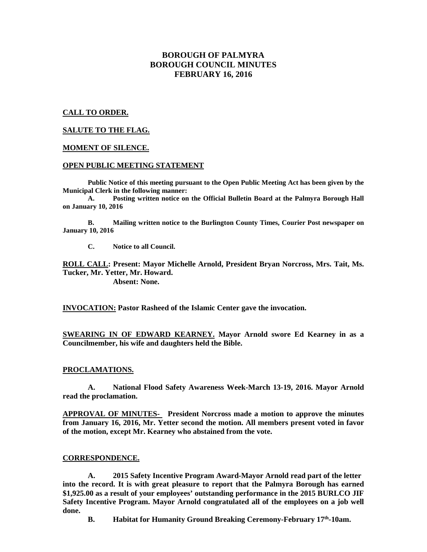# **BOROUGH OF PALMYRA BOROUGH COUNCIL MINUTES FEBRUARY 16, 2016**

## **CALL TO ORDER.**

## **SALUTE TO THE FLAG.**

### **MOMENT OF SILENCE.**

## **OPEN PUBLIC MEETING STATEMENT**

**Public Notice of this meeting pursuant to the Open Public Meeting Act has been given by the Municipal Clerk in the following manner:** 

 **A. Posting written notice on the Official Bulletin Board at the Palmyra Borough Hall on January 10, 2016** 

 **B. Mailing written notice to the Burlington County Times, Courier Post newspaper on January 10, 2016** 

 **C. Notice to all Council.** 

**ROLL CALL: Present: Mayor Michelle Arnold, President Bryan Norcross, Mrs. Tait, Ms. Tucker, Mr. Yetter, Mr. Howard.** 

 **Absent: None.** 

**INVOCATION: Pastor Rasheed of the Islamic Center gave the invocation.** 

**SWEARING IN OF EDWARD KEARNEY. Mayor Arnold swore Ed Kearney in as a Councilmember, his wife and daughters held the Bible.** 

### **PROCLAMATIONS.**

 **A. National Flood Safety Awareness Week-March 13-19, 2016. Mayor Arnold read the proclamation.** 

**APPROVAL OF MINUTES- President Norcross made a motion to approve the minutes from January 16, 2016, Mr. Yetter second the motion. All members present voted in favor of the motion, except Mr. Kearney who abstained from the vote.** 

### **CORRESPONDENCE.**

**A. 2015 Safety Incentive Program Award-Mayor Arnold read part of the letter into the record. It is with great pleasure to report that the Palmyra Borough has earned \$1,925.00 as a result of your employees' outstanding performance in the 2015 BURLCO JIF Safety Incentive Program. Mayor Arnold congratulated all of the employees on a job well done.** 

**B. Habitat for Humanity Ground Breaking Ceremony-February 17th-10am.**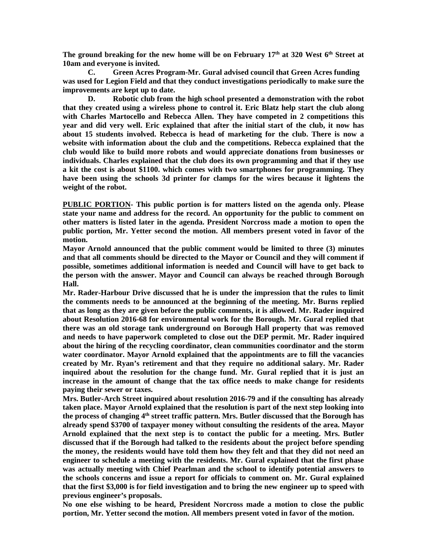**The ground breaking for the new home will be on February 17th at 320 West 6th Street at 10am and everyone is invited.** 

**C. Green Acres Program-Mr. Gural advised council that Green Acres funding was used for Legion Field and that they conduct investigations periodically to make sure the improvements are kept up to date.** 

 **D. Robotic club from the high school presented a demonstration with the robot that they created using a wireless phone to control it. Eric Blatz help start the club along with Charles Martocello and Rebecca Allen. They have competed in 2 competitions this year and did very well. Eric explained that after the initial start of the club, it now has about 15 students involved. Rebecca is head of marketing for the club. There is now a website with information about the club and the competitions. Rebecca explained that the club would like to build more robots and would appreciate donations from businesses or individuals. Charles explained that the club does its own programming and that if they use a kit the cost is about \$1100. which comes with two smartphones for programming. They have been using the schools 3d printer for clamps for the wires because it lightens the weight of the robot.** 

**PUBLIC PORTION- This public portion is for matters listed on the agenda only. Please state your name and address for the record. An opportunity for the public to comment on other matters is listed later in the agenda. President Norcross made a motion to open the public portion, Mr. Yetter second the motion. All members present voted in favor of the motion.** 

**Mayor Arnold announced that the public comment would be limited to three (3) minutes and that all comments should be directed to the Mayor or Council and they will comment if possible, sometimes additional information is needed and Council will have to get back to the person with the answer. Mayor and Council can always be reached through Borough Hall.** 

**Mr. Rader-Harbour Drive discussed that he is under the impression that the rules to limit the comments needs to be announced at the beginning of the meeting. Mr. Burns replied that as long as they are given before the public comments, it is allowed. Mr. Rader inquired about Resolution 2016-68 for environmental work for the Borough. Mr. Gural replied that there was an old storage tank underground on Borough Hall property that was removed and needs to have paperwork completed to close out the DEP permit. Mr. Rader inquired about the hiring of the recycling coordinator, clean communities coordinator and the storm water coordinator. Mayor Arnold explained that the appointments are to fill the vacancies created by Mr. Ryan's retirement and that they require no additional salary. Mr. Rader inquired about the resolution for the change fund. Mr. Gural replied that it is just an increase in the amount of change that the tax office needs to make change for residents paying their sewer or taxes.** 

**Mrs. Butler-Arch Street inquired about resolution 2016-79 and if the consulting has already taken place. Mayor Arnold explained that the resolution is part of the next step looking into the process of changing 4th street traffic pattern. Mrs. Butler discussed that the Borough has already spend \$3700 of taxpayer money without consulting the residents of the area. Mayor Arnold explained that the next step is to contact the public for a meeting. Mrs. Butler discussed that if the Borough had talked to the residents about the project before spending the money, the residents would have told them how they felt and that they did not need an engineer to schedule a meeting with the residents. Mr. Gural explained that the first phase was actually meeting with Chief Pearlman and the school to identify potential answers to the schools concerns and issue a report for officials to comment on. Mr. Gural explained that the first \$3,000 is for field investigation and to bring the new engineer up to speed with previous engineer's proposals.** 

**No one else wishing to be heard, President Norcross made a motion to close the public portion, Mr. Yetter second the motion. All members present voted in favor of the motion.**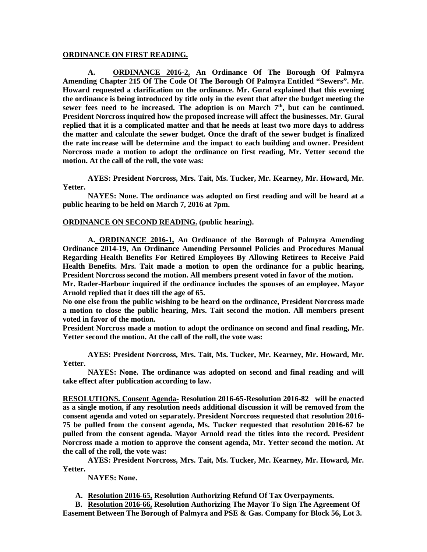#### **ORDINANCE ON FIRST READING.**

 **A. ORDINANCE 2016-2, An Ordinance Of The Borough Of Palmyra Amending Chapter 215 Of The Code Of The Borough Of Palmyra Entitled "Sewers". Mr. Howard requested a clarification on the ordinance. Mr. Gural explained that this evening the ordinance is being introduced by title only in the event that after the budget meeting the sewer fees need to be increased. The adoption is on March 7th, but can be continued. President Norcross inquired how the proposed increase will affect the businesses. Mr. Gural replied that it is a complicated matter and that he needs at least two more days to address the matter and calculate the sewer budget. Once the draft of the sewer budget is finalized the rate increase will be determine and the impact to each building and owner. President Norcross made a motion to adopt the ordinance on first reading, Mr. Yetter second the motion. At the call of the roll, the vote was:** 

 **AYES: President Norcross, Mrs. Tait, Ms. Tucker, Mr. Kearney, Mr. Howard, Mr. Yetter.** 

 **NAYES: None. The ordinance was adopted on first reading and will be heard at a public hearing to be held on March 7, 2016 at 7pm.** 

#### **ORDINANCE ON SECOND READING. (public hearing).**

**A. ORDINANCE 2016-1, An Ordinance of the Borough of Palmyra Amending Ordinance 2014-19, An Ordinance Amending Personnel Policies and Procedures Manual Regarding Health Benefits For Retired Employees By Allowing Retirees to Receive Paid Health Benefits. Mrs. Tait made a motion to open the ordinance for a public hearing, President Norcross second the motion. All members present voted in favor of the motion.** 

**Mr. Rader-Harbour inquired if the ordinance includes the spouses of an employee. Mayor Arnold replied that it does till the age of 65.** 

**No one else from the public wishing to be heard on the ordinance, President Norcross made a motion to close the public hearing, Mrs. Tait second the motion. All members present voted in favor of the motion.** 

**President Norcross made a motion to adopt the ordinance on second and final reading, Mr. Yetter second the motion. At the call of the roll, the vote was:** 

**AYES: President Norcross, Mrs. Tait, Ms. Tucker, Mr. Kearney, Mr. Howard, Mr. Yetter.** 

 **NAYES: None. The ordinance was adopted on second and final reading and will take effect after publication according to law.** 

**RESOLUTIONS. Consent Agenda- Resolution 2016-65-Resolution 2016-82 will be enacted as a single motion, if any resolution needs additional discussion it will be removed from the consent agenda and voted on separately. President Norcross requested that resolution 2016- 75 be pulled from the consent agenda, Ms. Tucker requested that resolution 2016-67 be pulled from the consent agenda. Mayor Arnold read the titles into the record. President Norcross made a motion to approve the consent agenda, Mr. Yetter second the motion. At the call of the roll, the vote was:** 

**AYES: President Norcross, Mrs. Tait, Ms. Tucker, Mr. Kearney, Mr. Howard, Mr. Yetter.** 

 **NAYES: None.** 

**A. Resolution 2016-65, Resolution Authorizing Refund Of Tax Overpayments.** 

**B. Resolution 2016-66, Resolution Authorizing The Mayor To Sign The Agreement Of Easement Between The Borough of Palmyra and PSE & Gas. Company for Block 56, Lot 3.**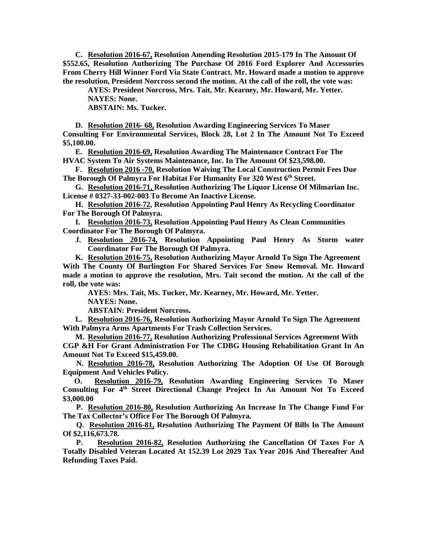**C. Resolution 2016-67, Resolution Amending Resolution 2015-179 In The Amount Of \$552.65, Resolution Authorizing The Purchase Of 2016 Ford Explorer And Accessories From Cherry Hill Winner Ford Via State Contract. Mr. Howard made a motion to approve the resolution, President Norcross second the motion. At the call of the roll, the vote was:** 

**AYES: President Norcross, Mrs. Tait, Mr. Kearney, Mr. Howard, Mr. Yetter. NAYES: None.** 

 **ABSTAIN: Ms. Tucker.** 

**D. Resolution 2016- 68, Resolution Awarding Engineering Services To Maser Consulting For Environmental Services, Block 28, Lot 2 In The Amount Not To Exceed \$5,100.00.** 

**E. Resolution 2016-69, Resolution Awarding The Maintenance Contract For The HVAC System To Air Systems Maintenance, Inc. In The Amount Of \$23,598.00.** 

**F. Resolution 2016 -70, Resolution Waiving The Local Construction Permit Fees Due The Borough Of Palmyra For Habitat For Humanity For 320 West 6th Street.** 

**G. Resolution 2016-71, Resolution Authorizing The Liquor License Of Milmarian Inc. License # 0327-33-002-003 To Become An Inactive License.** 

**H. Resolution 2016-72, Resolution Appointing Paul Henry As Recycling Coordinator For The Borough Of Palmyra.** 

**I. Resolution 2016-73, Resolution Appointing Paul Henry As Clean Communities Coordinator For The Borough Of Palmyra.** 

**J. Resolution 2016-74, Resolution Appointing Paul Henry As Storm water Coordinator For The Borough Of Palmyra.** 

**K. Resolution 2016-75, Resolution Authorizing Mayor Arnold To Sign The Agreement With The County Of Burlington For Shared Services For Snow Removal. Mr. Howard made a motion to approve the resolution, Mrs. Tait second the motion. At the call of the roll, the vote was:** 

**AYES: Mrs. Tait, Ms. Tucker, Mr. Kearney, Mr. Howard, Mr. Yetter. NAYES: None.** 

 **ABSTAIN: President Norcross.** 

**L. Resolution 2016-76, Resolution Authorizing Mayor Arnold To Sign The Agreement With Palmyra Arms Apartments For Trash Collection Services.** 

**M. Resolution 2016-77, Resolution Authorizing Professional Services Agreement With CGP &H For Grant Administration For The CDBG Housing Rehabilitation Grant In An Amount Not To Exceed \$15,459.00.** 

 **N. Resolution 2016-78, Resolution Authorizing The Adoption Of Use Of Borough Equipment And Vehicles Policy.** 

 **O. Resolution 2016-79, Resolution Awarding Engineering Services To Maser Consulting For 4th Street Directional Change Project In An Amount Not To Exceed \$3,000.00** 

 **P. Resolution 2016-80, Resolution Authorizing An Increase In The Change Fund For The Tax Collector's Office For The Borough Of Palmyra.** 

 **Q. Resolution 2016-81, Resolution Authorizing The Payment Of Bills In The Amount Of \$2,116,673.78.** 

 **P. Resolution 2016-82, Resolution Authorizing the Cancellation Of Taxes For A Totally Disabled Veteran Located At 152.39 Lot 2029 Tax Year 2016 And Thereafter And Refunding Taxes Paid.**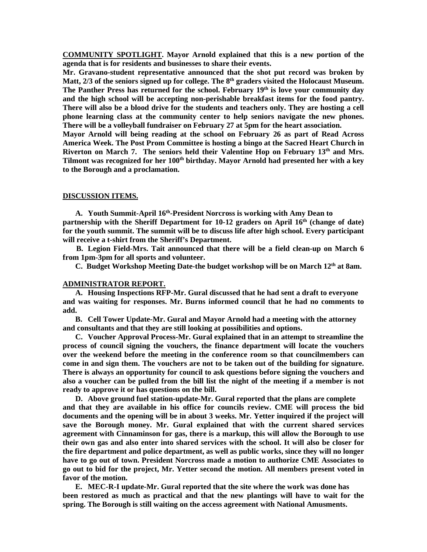**COMMUNITY SPOTLIGHT. Mayor Arnold explained that this is a new portion of the agenda that is for residents and businesses to share their events.** 

**Mr. Gravano-student representative announced that the shot put record was broken by Matt, 2/3 of the seniors signed up for college. The 8th graders visited the Holocaust Museum. The Panther Press has returned for the school. February 19th is love your community day and the high school will be accepting non-perishable breakfast items for the food pantry. There will also be a blood drive for the students and teachers only. They are hosting a cell phone learning class at the community center to help seniors navigate the new phones. There will be a volleyball fundraiser on February 27 at 5pm for the heart association.** 

**Mayor Arnold will being reading at the school on February 26 as part of Read Across America Week. The Post Prom Committee is hosting a bingo at the Sacred Heart Church in Riverton on March 7. The seniors held their Valentine Hop on February 13th and Mrs. Tilmont was recognized for her 100th birthday. Mayor Arnold had presented her with a key to the Borough and a proclamation.** 

#### **DISCUSSION ITEMS.**

**A. Youth Summit-April 16th-President Norcross is working with Amy Dean to partnership with the Sheriff Department for 10-12 graders on April 16th (change of date) for the youth summit. The summit will be to discuss life after high school. Every participant will receive a t-shirt from the Sheriff's Department.** 

 **B. Legion Field-Mrs. Tait announced that there will be a field clean-up on March 6 from 1pm-3pm for all sports and volunteer.** 

**C. Budget Workshop Meeting Date-the budget workshop will be on March 12th at 8am.** 

### **ADMINISTRATOR REPORT.**

**A. Housing Inspections RFP-Mr. Gural discussed that he had sent a draft to everyone and was waiting for responses. Mr. Burns informed council that he had no comments to add.** 

**B. Cell Tower Update-Mr. Gural and Mayor Arnold had a meeting with the attorney and consultants and that they are still looking at possibilities and options.** 

**C. Voucher Approval Process-Mr. Gural explained that in an attempt to streamline the process of council signing the vouchers, the finance department will locate the vouchers over the weekend before the meeting in the conference room so that councilmembers can come in and sign them. The vouchers are not to be taken out of the building for signature. There is always an opportunity for council to ask questions before signing the vouchers and also a voucher can be pulled from the bill list the night of the meeting if a member is not ready to approve it or has questions on the bill.** 

**D. Above ground fuel station-update-Mr. Gural reported that the plans are complete and that they are available in his office for councils review. CME will process the bid documents and the opening will be in about 3 weeks. Mr. Yetter inquired if the project will save the Borough money. Mr. Gural explained that with the current shared services agreement with Cinnaminson for gas, there is a markup, this will allow the Borough to use their own gas and also enter into shared services with the school. It will also be closer for the fire department and police department, as well as public works, since they will no longer have to go out of town. President Norcross made a motion to authorize CME Associates to go out to bid for the project, Mr. Yetter second the motion. All members present voted in favor of the motion.** 

**E. MEC-R-I update-Mr. Gural reported that the site where the work was done has been restored as much as practical and that the new plantings will have to wait for the spring. The Borough is still waiting on the access agreement with National Amusments.**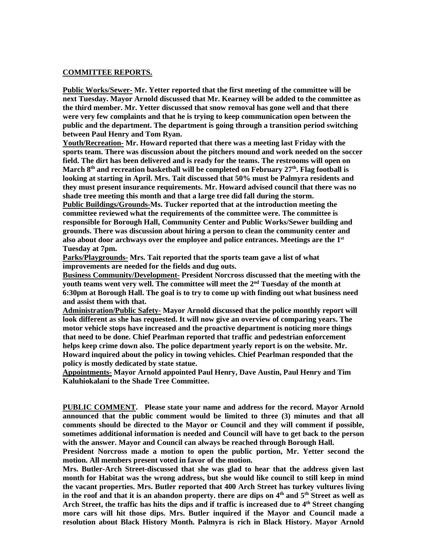# **COMMITTEE REPORTS.**

**Public Works/Sewer- Mr. Yetter reported that the first meeting of the committee will be next Tuesday. Mayor Arnold discussed that Mr. Kearney will be added to the committee as the third member. Mr. Yetter discussed that snow removal has gone well and that there were very few complaints and that he is trying to keep communication open between the public and the department. The department is going through a transition period switching between Paul Henry and Tom Ryan.** 

**Youth/Recreation- Mr. Howard reported that there was a meeting last Friday with the sports team. There was discussion about the pitchers mound and work needed on the soccer field. The dirt has been delivered and is ready for the teams. The restrooms will open on March 8th and recreation basketball will be completed on February 27th. Flag football is looking at starting in April. Mrs. Tait discussed that 50% must be Palmyra residents and they must present insurance requirements. Mr. Howard advised council that there was no shade tree meeting this month and that a large tree did fall during the storm.** 

**Public Buildings/Grounds-Ms. Tucker reported that at the introduction meeting the committee reviewed what the requirements of the committee were. The committee is responsible for Borough Hall, Community Center and Public Works/Sewer building and grounds. There was discussion about hiring a person to clean the community center and also about door archways over the employee and police entrances. Meetings are the 1st Tuesday at 7pm.** 

**Parks/Playgrounds- Mrs. Tait reported that the sports team gave a list of what improvements are needed for the fields and dug outs.** 

**Business Community/Development- President Norcross discussed that the meeting with the youth teams went very well. The committee will meet the 2nd Tuesday of the month at 6:30pm at Borough Hall. The goal is to try to come up with finding out what business need and assist them with that.** 

**Administration/Public Safety- Mayor Arnold discussed that the police monthly report will look different as she has requested. It will now give an overview of comparing years. The motor vehicle stops have increased and the proactive department is noticing more things that need to be done. Chief Pearlman reported that traffic and pedestrian enforcement helps keep crime down also. The police department yearly report is on the website. Mr. Howard inquired about the policy in towing vehicles. Chief Pearlman responded that the policy is mostly dedicated by state statue.** 

**Appointments- Mayor Arnold appointed Paul Henry, Dave Austin, Paul Henry and Tim Kaluhiokalani to the Shade Tree Committee.** 

**PUBLIC COMMENT. Please state your name and address for the record. Mayor Arnold announced that the public comment would be limited to three (3) minutes and that all comments should be directed to the Mayor or Council and they will comment if possible, sometimes additional information is needed and Council will have to get back to the person with the answer. Mayor and Council can always be reached through Borough Hall.** 

**President Norcross made a motion to open the public portion, Mr. Yetter second the motion. All members present voted in favor of the motion.** 

**Mrs. Butler-Arch Street-discussed that she was glad to hear that the address given last month for Habitat was the wrong address, but she would like council to still keep in mind the vacant properties. Mrs. Butler reported that 400 Arch Street has turkey vultures living in the roof and that it is an abandon property. there are dips on 4th and 5th Street as well as Arch Street, the traffic has hits the dips and if traffic is increased due to 4th Street changing more cars will hit those dips. Mrs. Butler inquired if the Mayor and Council made a resolution about Black History Month. Palmyra is rich in Black History. Mayor Arnold**